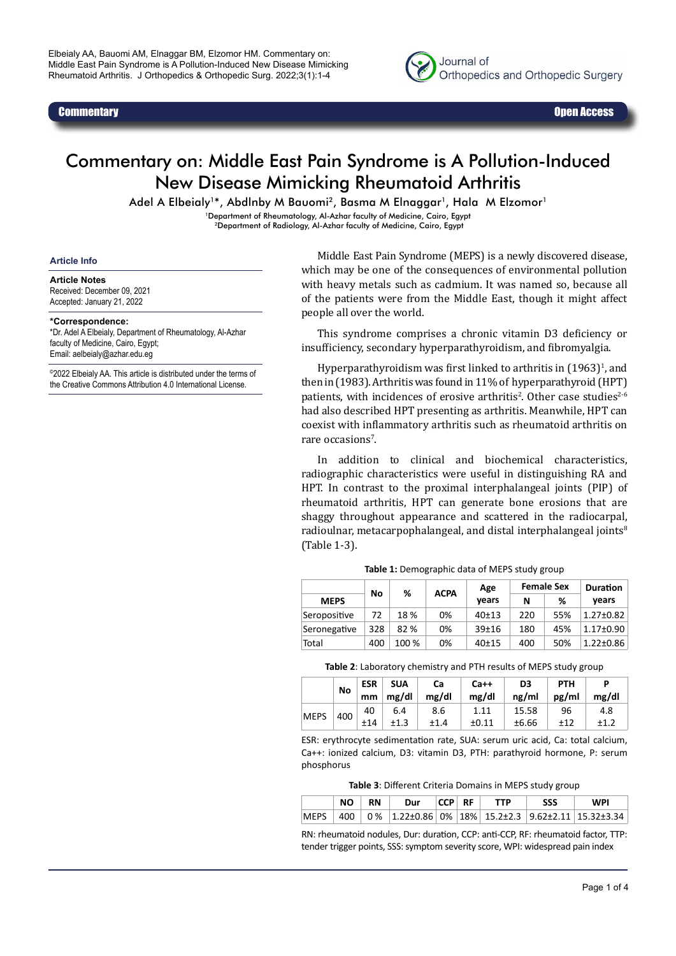

# Commentary on: Middle East Pain Syndrome is A Pollution-Induced New Disease Mimicking Rheumatoid Arthritis

Adel A Elbeialy<sup>1\*</sup>, Abdlnby M Bauomi<sup>2</sup>, Basma M Elnaggar<sup>1</sup>, Hala M Elzomor<sup>1</sup>

1Department of Rheumatology, Al-Azhar faculty of Medicine, Cairo, Egypt

<sup>2</sup>Department of Radiology, Al-Azhar faculty of Medicine, Cairo, Egypt

#### **Article Info**

#### **Article Notes**

Received: December 09, 2021 Accepted: January 21, 2022

### **\*Correspondence:**

\*Dr. Adel A Elbeialy, Department of Rheumatology, Al-Azhar faculty of Medicine, Cairo, Egypt; Email: aelbeialy@azhar.edu.eg

©2022 Elbeialy AA. This article is distributed under the terms of the Creative Commons Attribution 4.0 International License.

Middle East Pain Syndrome (MEPS) is a newly discovered disease, which may be one of the consequences of environmental pollution with heavy metals such as cadmium. It was named so, because all of the patients were from the Middle East, though it might affect people all over the world.

This syndrome comprises a chronic vitamin D3 deficiency or insufficiency, secondary hyperparathyroidism, and fibromyalgia.

Hyperparathyroidism was first linked to arthritis in  $(1963)^{1}$ , and then in (1983). Arthritis was found in 11% of hyperparathyroid (HPT) patients, with incidences of erosive arthritis<sup>2</sup>. Other case studies<sup>2-6</sup> had also described HPT presenting as arthritis. Meanwhile, HPT can coexist with inflammatory arthritis such as rheumatoid arthritis on rare occasions<sup>7</sup>.

In addition to clinical and biochemical characteristics, radiographic characteristics were useful in distinguishing RA and HPT. In contrast to the proximal interphalangeal joints (PIP) of rheumatoid arthritis, HPT can generate bone erosions that are shaggy throughout appearance and scattered in the radiocarpal, radioulnar, metacarpophalangeal, and distal interphalangeal joints<sup>8</sup> (Table 1-3).

|              | No  | %     | <b>ACPA</b> | Age       |     | <b>Female Sex</b> | <b>Duration</b><br>vears |  |
|--------------|-----|-------|-------------|-----------|-----|-------------------|--------------------------|--|
| <b>MEPS</b>  |     |       |             | vears     | N   | %                 |                          |  |
| Seropositive | 72  | 18%   | 0%          | $40+13$   | 220 | 55%               | $1.27 \pm 0.82$          |  |
| Seronegative | 328 | 82%   | 0%          | $39 + 16$ | 180 | 45%               | $1.17 \pm 0.90$          |  |
| Total        | 400 | 100 % | 0%          | $40+15$   | 400 | 50%               | $1.22 \pm 0.86$          |  |

**Table 1:** Demographic data of MEPS study group

**Table 2**: Laboratory chemistry and PTH results of MEPS study group

|             | <b>No</b> | <b>ESR</b><br>mm | <b>SUA</b><br>mg/dl | Ca<br>mg/dl | $Ca++$<br>mg/dl    | D <sub>3</sub><br>ng/ml | <b>PTH</b><br>pg/ml | P<br>mg/dl  |
|-------------|-----------|------------------|---------------------|-------------|--------------------|-------------------------|---------------------|-------------|
| <b>MEPS</b> | 400       | 40<br>±14        | 6.4                 | 8.6<br>±1.4 | 1.11<br>$\pm 0.11$ | 15.58<br>±6.66          | 96<br>±12           | 4.8<br>±1.2 |

ESR: erythrocyte sedimentation rate, SUA: serum uric acid, Ca: total calcium, Ca++: ionized calcium, D3: vitamin D3, PTH: parathyroid hormone, P: serum phosphorus

**Table 3**: Different Criteria Domains in MEPS study group

|  | RN | Dur | $ CCP $ RF $ $ | TTP | SSS | WPI                                                                    |
|--|----|-----|----------------|-----|-----|------------------------------------------------------------------------|
|  |    |     |                |     |     | 400   0 %   1.22±0.86   0 %   18 %   15.2±2.3   9.62±2.11   15.32±3.34 |

RN: rheumatoid nodules, Dur: duration, CCP: anti-CCP, RF: rheumatoid factor, TTP: tender trigger points, SSS: symptom severity score, WPI: widespread pain index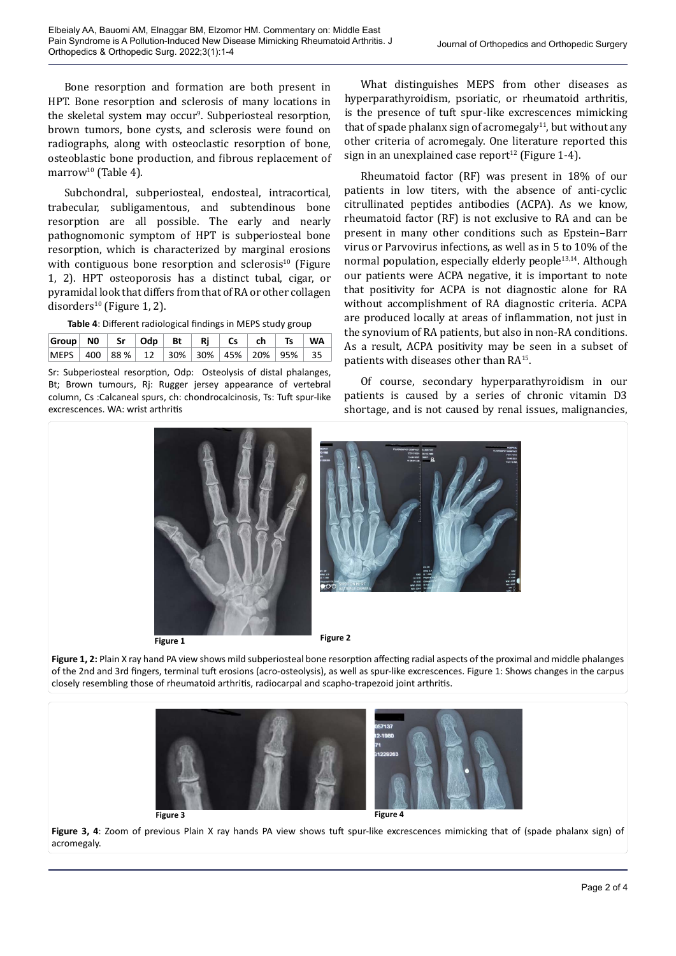Bone resorption and formation are both present in HPT. Bone resorption and sclerosis of many locations in the skeletal system may occur<sup>9</sup>. Subperiosteal resorption, brown tumors, bone cysts, and sclerosis were found on radiographs, along with osteoclastic resorption of bone, osteoblastic bone production, and fibrous replacement of marrow<sup>10</sup> (Table 4).

Subchondral, subperiosteal, endosteal, intracortical, trabecular, subligamentous, and subtendinous bone resorption are all possible. The early and nearly pathognomonic symptom of HPT is subperiosteal bone resorption, which is characterized by marginal erosions with contiguous bone resorption and sclerosis $10$  (Figure 1, 2). HPT osteoporosis has a distinct tubal, cigar, or pyramidal look that differs from that of RA or other collagen disorders<sup>10</sup> (Figure 1, 2).

**Table 4**: Different radiological findings in MEPS study group

| $ Group $ N0 $ $ Sr $ $ Odp $ $ Bt $ $ Rj $ $ Cs $ $ ch $ $ Ts $ $ WA |  |  |  |  |  |
|-----------------------------------------------------------------------|--|--|--|--|--|
| MEPS   400   88 %   12   30%   30%   45%   20%   95%   35             |  |  |  |  |  |

Sr: Subperiosteal resorption, Odp: Osteolysis of distal phalanges, Bt; Brown tumours, Rj: Rugger jersey appearance of vertebral column, Cs :Calcaneal spurs, ch: chondrocalcinosis, Ts: Tuft spur-like excrescences. WA: wrist arthritis

What distinguishes MEPS from other diseases as hyperparathyroidism, psoriatic, or rheumatoid arthritis, is the presence of tuft spur-like excrescences mimicking that of spade phalanx sign of acromegaly<sup>11</sup>, but without any other criteria of acromegaly. One literature reported this sign in an unexplained case report<sup>12</sup> (Figure 1-4).

Rheumatoid factor (RF) was present in 18% of our patients in low titers, with the absence of anti-cyclic citrullinated peptides antibodies (ACPA). As we know, rheumatoid factor (RF) is not exclusive to RA and can be present in many other conditions such as Epstein–Barr virus or Parvovirus infections, as well as in 5 to 10% of the normal population, especially elderly people<sup>13,14</sup>. Although our patients were ACPA negative, it is important to note that positivity for ACPA is not diagnostic alone for RA without accomplishment of RA diagnostic criteria. ACPA are produced locally at areas of inflammation, not just in the synovium of RA patients, but also in non-RA conditions. As a result, ACPA positivity may be seen in a subset of patients with diseases other than RA<sup>15</sup>.

Of course, secondary hyperparathyroidism in our patients is caused by a series of chronic vitamin D3 shortage, and is not caused by renal issues, malignancies,



Figure 1, 2: Plain X ray hand PA view shows mild subperiosteal bone resorption affecting radial aspects of the proximal and middle phalanges of the 2nd and 3rd fingers, terminal tuft erosions (acro-osteolysis), as well as spur-like excrescences. Figure 1: Shows changes in the carpus closely resembling those of rheumatoid arthritis, radiocarpal and scapho-trapezoid joint arthritis.



**Figure 3, 4**: Zoom of previous Plain X ray hands PA view shows tuft spur-like excrescences mimicking that of (spade phalanx sign) of acromegaly.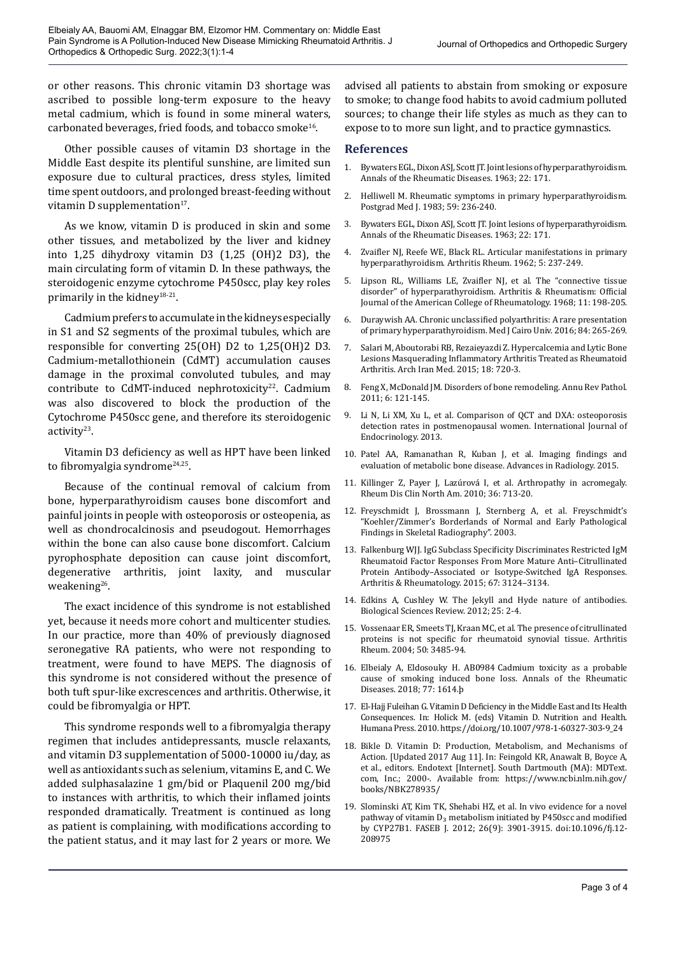or other reasons. This chronic vitamin D3 shortage was ascribed to possible long-term exposure to the heavy metal cadmium, which is found in some mineral waters, carbonated beverages, fried foods, and tobacco smoke<sup>16</sup>.

Other possible causes of vitamin D3 shortage in the Middle East despite its plentiful sunshine, are limited sun exposure due to cultural practices, dress styles, limited time spent outdoors, and prolonged breast-feeding without vitamin D supplementation $17$ .

As we know, vitamin D is produced in skin and some other tissues, and metabolized by the liver and kidney into 1,25 dihydroxy vitamin D3 (1,25 (OH)2 D3), the main circulating form of vitamin D. In these pathways, the steroidogenic enzyme cytochrome P450scc, play key roles primarily in the kidney<sup>18-21</sup>.

Cadmium prefers to accumulate in the kidneys especially in S1 and S2 segments of the proximal tubules, which are responsible for converting 25(OH) D2 to 1,25(OH)2 D3. Cadmium-metallothionein (CdMT) accumulation causes damage in the proximal convoluted tubules, and may contribute to CdMT-induced nephrotoxicity<sup>22</sup>. Cadmium was also discovered to block the production of the Cytochrome P450scc gene, and therefore its steroidogenic activity<sup>23</sup>.

Vitamin D3 deficiency as well as HPT have been linked to fibromyalgia syndrome<sup>24,25</sup>.

Because of the continual removal of calcium from bone, hyperparathyroidism causes bone discomfort and painful joints in people with osteoporosis or osteopenia, as well as chondrocalcinosis and pseudogout. Hemorrhages within the bone can also cause bone discomfort. Calcium pyrophosphate deposition can cause joint discomfort, degenerative arthritis, joint laxity, and muscular weakening $26$ .

The exact incidence of this syndrome is not established yet, because it needs more cohort and multicenter studies. In our practice, more than 40% of previously diagnosed seronegative RA patients, who were not responding to treatment, were found to have MEPS. The diagnosis of this syndrome is not considered without the presence of both tuft spur-like excrescences and arthritis. Otherwise, it could be fibromyalgia or HPT.

This syndrome responds well to a fibromyalgia therapy regimen that includes antidepressants, muscle relaxants, and vitamin D3 supplementation of 5000-10000 iu/day, as well as antioxidants such as selenium, vitamins E, and C. We added sulphasalazine 1 gm/bid or Plaquenil 200 mg/bid to instances with arthritis, to which their inflamed joints responded dramatically. Treatment is continued as long as patient is complaining, with modifications according to the patient status, and it may last for 2 years or more. We

advised all patients to abstain from smoking or exposure to smoke; to change food habits to avoid cadmium polluted sources; to change their life styles as much as they can to expose to to more sun light, and to practice gymnastics.

## **References**

- 1. Bywaters EGL, Dixon ASJ, Scott JT. Joint lesions of hyperparathyroidism. Annals of the Rheumatic Diseases. 1963; 22: 171.
- 2. Helliwell M. Rheumatic symptoms in primary hyperparathyroidism. Postgrad Med J. 1983; 59: 236-240.
- 3. Bywaters EGL, Dixon ASJ, Scott JT. Joint lesions of hyperparathyroidism. Annals of the Rheumatic Diseases. 1963; 22: 171.
- 4. Zvaifler NJ, Reefe WE, Black RL. Articular manifestations in primary hyperparathyroidism. Arthritis Rheum. 1962; 5: 237-249.
- 5. Lipson RL, Williams LE, Zvaifler NJ, et al. The "connective tissue disorder" of hyperparathyroidism. Arthritis & Rheumatism: Official Journal of the American College of Rheumatology. 1968; 11: 198-205.
- 6. Duraywish AA. Chronic unclassified polyarthritis: A rare presentation of primary hyperparathyroidism. Med J Cairo Univ. 2016; 84: 265-269.
- 7. Salari M, Aboutorabi RB, Rezaieyazdi Z. Hypercalcemia and Lytic Bone Lesions Masquerading Inflammatory Arthritis Treated as Rheumatoid Arthritis. Arch Iran Med. 2015; 18: 720-3.
- 8. Feng X, McDonald JM. Disorders of bone remodeling. Annu Rev Pathol. 2011; 6: 121-145.
- 9. Li N, Li XM, Xu L, et al. Comparison of QCT and DXA: osteoporosis detection rates in postmenopausal women. International Journal of Endocrinology. 2013.
- 10. Patel AA, Ramanathan R, Kuban J, et al. Imaging findings and evaluation of metabolic bone disease. Advances in Radiology. 2015.
- 11. Killinger Z, Payer J, Lazúrová I, et al. Arthropathy in acromegaly. Rheum Dis Clin North Am. 2010; 36: 713-20.
- 12. Freyschmidt J, Brossmann J, Sternberg A, et al. Freyschmidt's "Koehler/Zimmer's Borderlands of Normal and Early Pathological Findings in Skeletal Radiography". 2003.
- 13. Falkenburg WJJ. IgG Subclass Specificity Discriminates Restricted IgM Rheumatoid Factor Responses From More Mature Anti–Citrullinated Protein Antibody–Associated or Isotype-Switched IgA Responses. Arthritis & Rheumatology. 2015; 67: 3124–3134.
- 14. Edkins A, Cushley W. The Jekyll and Hyde nature of antibodies. Biological Sciences Review. 2012; 25: 2-4.
- 15. Vossenaar ER, Smeets TJ, Kraan MC, et al. The presence of citrullinated proteins is not specific for rheumatoid synovial tissue. Arthritis Rheum. 2004; 50: 3485-94.
- 16. Elbeialy A, Eldosouky H. AB0984 Cadmium toxicity as a probable cause of smoking induced bone loss. Annals of the Rheumatic Diseases. 2018; 77: 1614.þ
- 17. El-Hajj Fuleihan G. Vitamin D Deficiency in the Middle East and Its Health Consequences. In: Holick M. (eds) Vitamin D. Nutrition and Health. Humana Press. 2010. https://doi.org/10.1007/978-1-60327-303-9\_24
- 18. Bikle D. Vitamin D: Production, Metabolism, and Mechanisms of Action. [Updated 2017 Aug 11]. In: Feingold KR, Anawalt B, Boyce A, et al., editors. Endotext [Internet]. South Dartmouth (MA): MDText. com, Inc.; 2000-. Available from: [https://www.ncbi.nlm.nih.gov/](https://www.ncbi.nlm.nih.gov/books/NBK278935/) [books/NBK278935/](https://www.ncbi.nlm.nih.gov/books/NBK278935/)
- 19. Slominski AT, Kim TK, Shehabi HZ, et al. In vivo evidence for a novel pathway of vitamin D<sub>3</sub> metabolism initiated by P450scc and modified by CYP27B1. FASEB J. 2012; 26(9): 3901-3915. doi:10.1096/fj.12- 208975